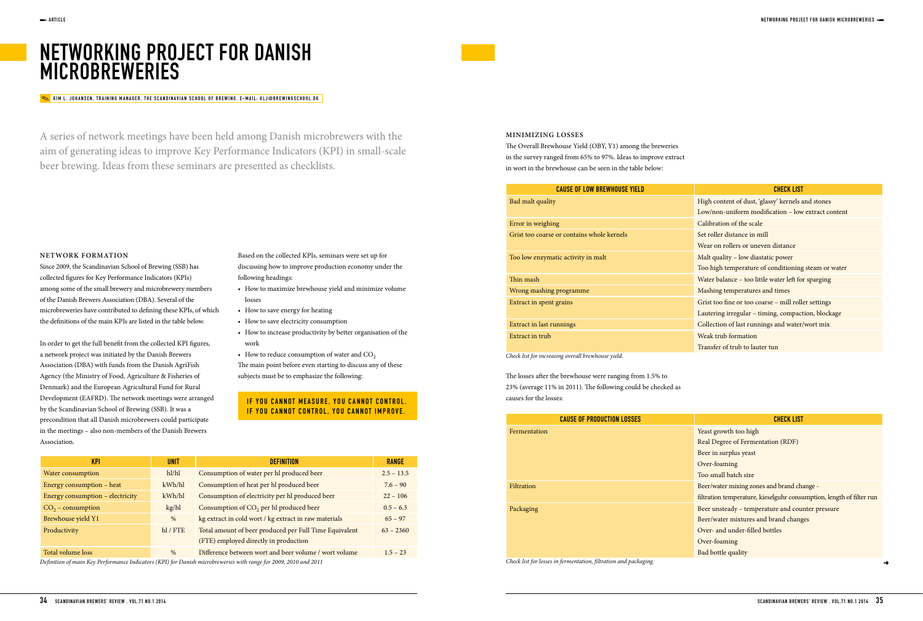# NETWORKING PROJECT FOR DANISH **MICROBREWERIES**

# **NETWORK FORMATION**

Since 2009, the Scandinavian School of Brewing (SSB) has collected fgures for Key Performance Indicators (KPIs) among some of the small brewery and microbrewery members of the Danish Brewers Association (DBA). Several of the microbreweries have contributed to defning these KPIs, of which the defnitions of the main KPIs are listed in the table below.

The Overall Brewhouse Yield (OBY, Y1) among the breweries in the survey ranged from 65% to 97%. Ideas to improve extract in wort in the brewhouse can be seen in the table below:

In order to get the full beneft from the collected KPI fgures, a network project was initiated by the Danish Brewers Association (DBA) with funds from the Danish AgriFish Agency (the Ministry of Food, Agriculture & Fisheries of Denmark) and the European Agricultural Fund for Rural Development (EAFRD). The network meetings were arranged by the Scandinavian School of Brewing (SSB). It was a precondition that all Danish microbrewers could participate in the meetings – also non-members of the Danish Brewers Association.

**MINIMIZING LOSSES**

## KIM L. JOHANSEN, TRAINING MANAGER, THE SCANDINAVIAN SCHOOL OF BREWING, E-MAIL: KLJ@BREWINGSCHOOL.DK

A series of network meetings have been held among Danish microbrewers with the aim of generating ideas to improve Key Performance Indicators (KPI) in small-scale beer brewing. Ideas from these seminars are presented as checklists.

> Based on the collected KPIs, seminars were set up for discussing how to improve production economy under the following headings:

- How to maximize brewhouse yield and minimize volume losses
- How to save energy for heating
- How to save electricity consumption
- How to increase productivity by better organisation of the work
- $\bullet$  How to reduce consumption of water and CO<sub>2</sub> The main point before even starting to discuss any of these subjects must be to emphasize the following:

# IF YOU CANNOT MEASURE, YOU CANNOT CONTROL. IF YOU CANNOT CONTROL, YOU CANNOT IMPROVE.

The losses after the brewhouse were ranging from 1.5% to 23% (average 11% in 2011). The following could be checked as causes for the losses:

| <b>CAUSE OF PRODUCTION LOSSES</b> |            |
|-----------------------------------|------------|
| Fermentation                      | Yea        |
|                                   | Rea        |
|                                   | Bee        |
|                                   | Ov         |
|                                   | <b>Toc</b> |
| Filtration                        | Bee        |
|                                   | filtr      |
| Packaging                         | Bee        |
|                                   | Bee        |
|                                   | Ov         |
|                                   | Ov         |
|                                   | Bac        |

| <b>KPI</b>                                                                                                       | <b>UNIT</b>  | <b>DEFINITION</b>                                      | <b>RANGE</b> |  |
|------------------------------------------------------------------------------------------------------------------|--------------|--------------------------------------------------------|--------------|--|
| Water consumption                                                                                                | h1/h1        | Consumption of water per hl produced beer              | $2.5 - 13.5$ |  |
| Energy consumption – heat                                                                                        | kWh/hl       | Consumption of heat per hl produced beer               | $7.6 - 90$   |  |
| Energy consumption - electricity                                                                                 | kWh/hl       | Consumption of electricity per hl produced beer        | $22 - 106$   |  |
| $CO2$ – consumption                                                                                              | kg/hl        | Consumption of CO <sub>2</sub> per hl produced beer    | $0.5 - 6.3$  |  |
| Brewhouse yield Y1                                                                                               | $\%$         | kg extract in cold wort / kg extract in raw materials  | $65 - 97$    |  |
| Productivity                                                                                                     | $hl$ / $FTE$ | Total amount of beer produced per Full Time Equivalent | $63 - 2360$  |  |
|                                                                                                                  |              | (FTE) employed directly in production                  |              |  |
| Total volume loss                                                                                                | $\%$         | Difference between wort and beer volume / wort volume  | $1.5 - 23$   |  |
| Definition of main Key Performance Indicators (KPI) for Danish microbreweries with range for 2009, 2010 and 2011 |              |                                                        |              |  |

| <b>CAUSE OF LOW BREWHOUSE YIELD</b>        | <b>CHECK LIST</b>                        |
|--------------------------------------------|------------------------------------------|
| ad malt quality                            | High content of dust, 'glassy' kernels a |
|                                            | Low/non-uniform modification - low       |
| crror in weighing                          | Calibration of the scale                 |
| Frist too coarse or contains whole kernels | Set roller distance in mill              |
|                                            | Wear on rollers or uneven distance       |
| oo low enzymatic activity in malt          | Malt quality - low diastatic power       |
|                                            | Too high temperature of conditioning     |
| hin mash                                   | Water balance - too little water left fo |
| Vrong mashing programme                    | Mashing temperatures and times           |
| Extract in spent grains                    | Grist too fine or too coarse - mill roll |
|                                            | Lautering irregular - timing, compact    |
| <b>Extract in last runnings</b>            | Collection of last runnings and water.   |
| ixtract in trub                            | Weak trub formation                      |
|                                            | Transfer of trub to lauter tun           |

Check list for increasing overall brewhouse yield.

Check list for losses in fermentation, fltration and packaging.

- gh content of dust, 'glassy' kernels and stones
- w/non-uniform modification low extract content
- libration of the scale
- roller distance in mill
- ear on rollers or uneven distance
- It quality low diastatic power
- o high temperature of conditioning steam or water
- ater balance too little water left for sparging
- shing temperatures and times
- ist too fine or too coarse mill roller settings
- utering irregular timing, compaction, blockage
- llection of last runnings and water/wort mix
- eak trub formation
- Insfer of trub to lauter tun

# **CHECK LIST**

- ist growth too high
- al Degree of Fermentation (RDF)
- er in surplus yeast
- er-foaming
- o small batch size
- er/water mixing zones and brand change -
- ration temperature, kieselguhr consumption, length of filter run
- er unsteady temperature and counter pressure
- er/water mixtures and brand changes
- er- and under-filled bottles
- er-foaming
- d bottle quality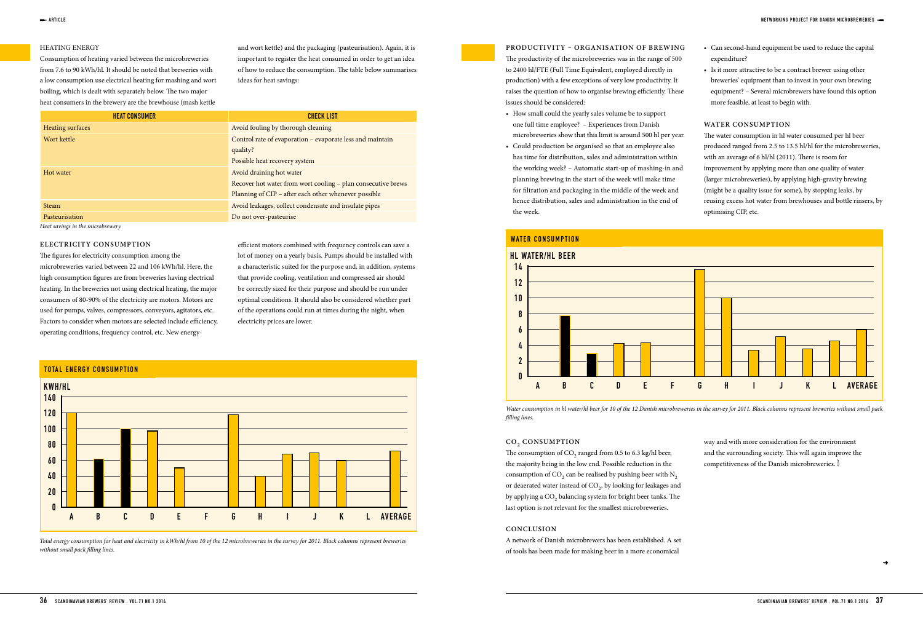### HEATING ENERGY

Consumption of heating varied between the microbreweries from 7.6 to 90 kWh/hl. It should be noted that breweries with a low consumption use electrical heating for mashing and wort boiling, which is dealt with separately below. The two major heat consumers in the brewery are the brewhouse (mash kettle

The productivity of the microbreweries was in the range of 500 to 2400 hl/FTE (Full Time Equivalent, employed directly in production) with a few exceptions of very low productivity. It raises the question of how to organise brewing efficiently. These issues should be considered:

and wort kettle) and the packaging (pasteurisation). Again, it is important to register the heat consumed in order to get an idea of how to reduce the consumption. The table below summarises ideas for heat savings:

### **PRODUCTIVITY – ORGANISATION OF BREWING**

- How small could the yearly sales volume be to support one full time employee? – Experiences from Danish microbreweries show that this limit is around 500 hl per year.
- Could production be organised so that an employee also has time for distribution, sales and administration within the working week? – Automatic start-up of mashing-in and planning brewing in the start of the week will make time for fltration and packaging in the middle of the week and hence distribution, sales and administration in the end of the week.
- Can second-hand equipment be used to reduce the capital expenditure?
- Is it more attractive to be a contract brewer using other breweries' equipment than to invest in your own brewing equipment? – Several microbrewers have found this option more feasible, at least to begin with.

#### **WATER CONSUMPTION**

The water consumption in hl water consumed per hl beer produced ranged from 2.5 to 13.5 hl/hl for the microbreweries, with an average of 6 hl/hl  $(2011)$ . There is room for improvement by applying more than one quality of water (larger microbreweries), by applying high-gravity brewing (might be a quality issue for some), by stopping leaks, by reusing excess hot water from brewhouses and bottle rinsers, by optimising CIP, etc.

efficient motors combined with frequency controls can save a lot of money on a yearly basis. Pumps should be installed with a characteristic suited for the purpose and, in addition, systems that provide cooling, ventilation and compressed air should be correctly sized for their purpose and should be run under optimal conditions. It should also be considered whether part of the operations could run at times during the night, when electricity prices are lower.

Total energy consumption for heat and electricity in kWh/hl from 10 of the 12 microbreweries in the survey for 2011. Black columns represent breweries without small pack filling lines.



The consumption of  $CO$ , ranged from 0.5 to 6.3 kg/hl beer, the majority being in the low end. Possible reduction in the consumption of  $CO<sub>2</sub>$  can be realised by pushing beer with  $N<sub>2</sub>$ or deaerated water instead of CO<sub>2</sub>, by looking for leakages and by applying a CO<sub>2</sub> balancing system for bright beer tanks. The last option is not relevant for the smallest microbreweries.

| <b>HEAT CONSUMER</b>             | <b>CHECK LIST</b>                                            |
|----------------------------------|--------------------------------------------------------------|
| Heating surfaces                 | Avoid fouling by thorough cleaning                           |
| Wort kettle                      | Control rate of evaporation – evaporate less and maintain    |
|                                  | quality?                                                     |
|                                  | Possible heat recovery system                                |
| Hot water                        | Avoid draining hot water                                     |
|                                  | Recover hot water from wort cooling – plan consecutive brews |
|                                  | Planning of CIP – after each other whenever possible         |
| <b>Steam</b>                     | Avoid leakages, collect condensate and insulate pipes        |
| Pasteurisation                   | Do not over-pasteurise                                       |
| Heat savings in the microbrewery |                                                              |

**ELECTRICITY CONSUMPTION**

The figures for electricity consumption among the

microbreweries varied between 22 and 106 kWh/hl. Here, the high consumption fgures are from breweries having electrical heating. In the breweries not using electrical heating, the major consumers of 80-90% of the electricity are motors. Motors are used for pumps, valves, compressors, conveyors, agitators, etc. Factors to consider when motors are selected include efficiency, operating conditions, frequency control, etc. New energy-

Water consumption in hl water/hl beer for 10 of the 12 Danish microbreweries in the survey for 2011. Black columns represent breweries without small pack

flling lines.



#### **CO2 CONSUMPTION**

#### **CONCLUSION**

A network of Danish microbrewers has been established. A set of tools has been made for making beer in a more economical

way and with more consideration for the environment and the surrounding society. This will again improve the competitiveness of the Danish microbreweries.